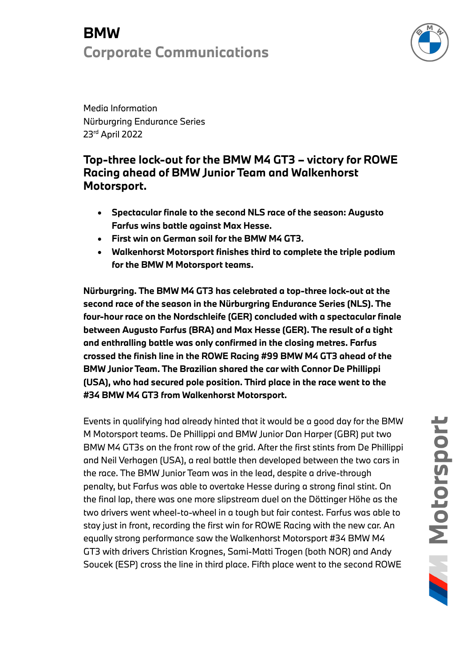# **BMW Corporate Communications**



Media Information Nürburgring Endurance Series 23rd April 2022

## **Top-three lock-out for the BMW M4 GT3 – victory for ROWE Racing ahead of BMW Junior Team and Walkenhorst Motorsport.**

- **Spectacular finale to the second NLS race of the season: Augusto Farfus wins battle against Max Hesse.**
- **First win on German soil for the BMW M4 GT3.**
- **Walkenhorst Motorsport finishes third to complete the triple podium for the BMW M Motorsport teams.**

**Nürburgring. The BMW M4 GT3 has celebrated a top-three lock-out at the second race of the season in the Nürburgring Endurance Series (NLS). The four-hour race on the Nordschleife (GER) concluded with a spectacular finale between Augusto Farfus (BRA) and Max Hesse (GER). The result of a tight and enthralling battle was only confirmed in the closing metres. Farfus crossed the finish line in the ROWE Racing #99 BMW M4 GT3 ahead of the BMW Junior Team. The Brazilian shared the car with Connor De Phillippi (USA), who had secured pole position. Third place in the race went to the #34 BMW M4 GT3 from Walkenhorst Motorsport.**

Events in qualifying had already hinted that it would be a good day for the BMW M Motorsport teams. De Phillippi and BMW Junior Dan Harper (GBR) put two BMW M4 GT3s on the front row of the grid. After the first stints from De Phillippi and Neil Verhagen (USA), a real battle then developed between the two cars in the race. The BMW Junior Team was in the lead, despite a drive-through penalty, but Farfus was able to overtake Hesse during a strong final stint. On the final lap, there was one more slipstream duel on the Döttinger Höhe as the two drivers went wheel-to-wheel in a tough but fair contest. Farfus was able to stay just in front, recording the first win for ROWE Racing with the new car. An equally strong performance saw the Walkenhorst Motorsport #34 BMW M4 GT3 with drivers Christian Krognes, Sami-Matti Trogen (both NOR) and Andy Soucek (ESP) cross the line in third place. Fifth place went to the second ROWE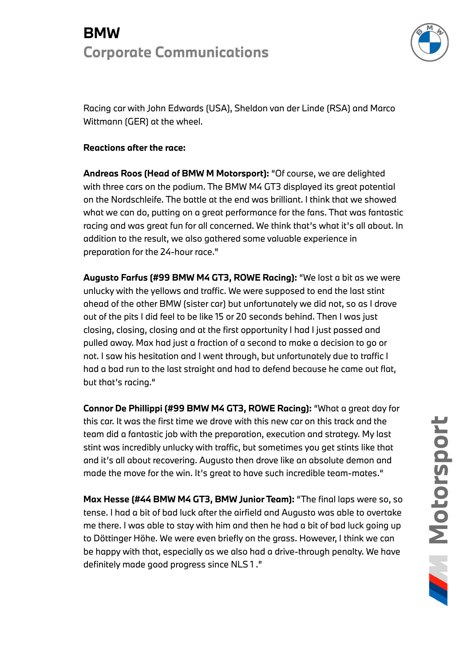# **BMW Corporate Communications**



Racing car with John Edwards (USA), Sheldon van der Linde (RSA) and Marco Wittmann (GER) at the wheel.

### **Reactions after the race:**

**Andreas Roos (Head of BMW M Motorsport):** "Of course, we are delighted with three cars on the podium. The BMW M4 GT3 displayed its great potential on the Nordschleife. The battle at the end was brilliant. I think that we showed what we can do, putting on a great performance for the fans. That was fantastic racing and was great fun for all concerned. We think that's what it's all about. In addition to the result, we also gathered some valuable experience in preparation for the 24-hour race."

**Augusto Farfus (#99 BMW M4 GT3, ROWE Racing):** "We lost a bit as we were unlucky with the yellows and traffic. We were supposed to end the last stint ahead of the other BMW (sister car) but unfortunately we did not, so as I drove out of the pits I did feel to be like 15 or 20 seconds behind. Then I was just closing, closing, closing and at the first opportunity I had I just passed and pulled away. Max had just a fraction of a second to make a decision to go or not. I saw his hesitation and I went through, but unfortunately due to traffic I had a bad run to the last straight and had to defend because he came out flat, but that's racing."

**Connor De Phillippi (#99 BMW M4 GT3, ROWE Racing):** "What a great day for this car. It was the first time we drove with this new car on this track and the team did a fantastic job with the preparation, execution and strategy. My last stint was incredibly unlucky with traffic, but sometimes you get stints like that and it's all about recovering. Augusto then drove like an absolute demon and made the move for the win. It's great to have such incredible team-mates."

**Max Hesse (#44 BMW M4 GT3, BMW Junior Team):** "The final laps were so, so tense. I had a bit of bad luck after the airfield and Augusto was able to overtake me there. I was able to stay with him and then he had a bit of bad luck going up to Döttinger Höhe. We were even briefly on the grass. However, I think we can be happy with that, especially as we also had a drive-through penalty. We have definitely made good progress since NLS 1 ."